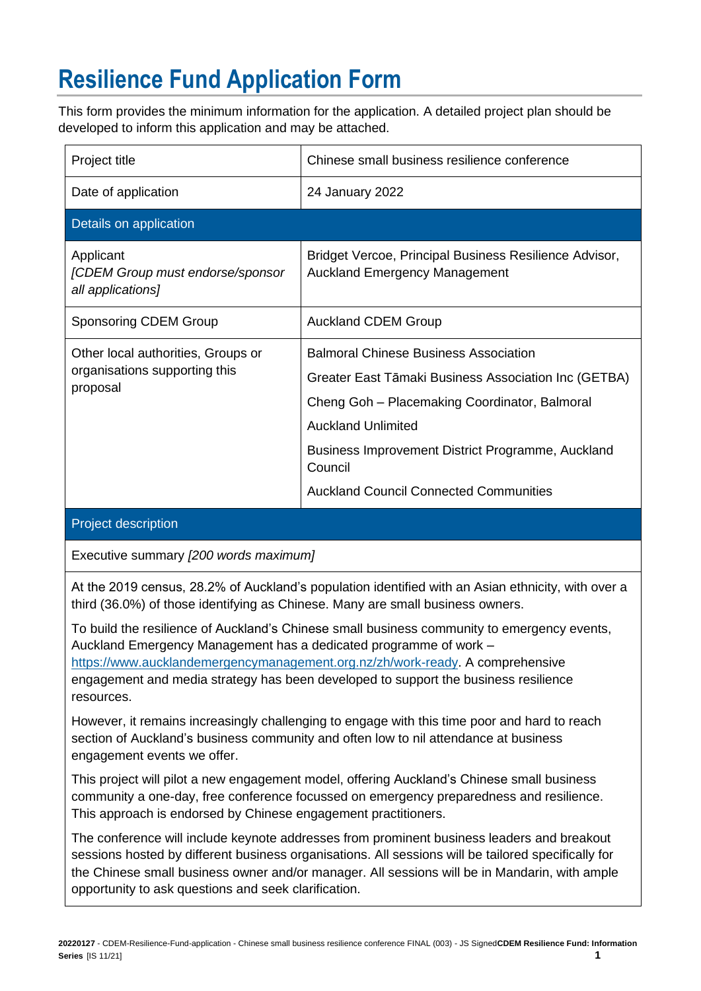## **Resilience Fund Application Form**

This form provides the minimum information for the application. A detailed project plan should be developed to inform this application and may be attached.

| Project title                                                                   | Chinese small business resilience conference                                                                                                                                                                                                                                                        |
|---------------------------------------------------------------------------------|-----------------------------------------------------------------------------------------------------------------------------------------------------------------------------------------------------------------------------------------------------------------------------------------------------|
| Date of application                                                             | 24 January 2022                                                                                                                                                                                                                                                                                     |
| Details on application                                                          |                                                                                                                                                                                                                                                                                                     |
| Applicant<br>[CDEM Group must endorse/sponsor<br>all applications]              | Bridget Vercoe, Principal Business Resilience Advisor,<br><b>Auckland Emergency Management</b>                                                                                                                                                                                                      |
| <b>Sponsoring CDEM Group</b>                                                    | <b>Auckland CDEM Group</b>                                                                                                                                                                                                                                                                          |
| Other local authorities, Groups or<br>organisations supporting this<br>proposal | <b>Balmoral Chinese Business Association</b><br>Greater East Tāmaki Business Association Inc (GETBA)<br>Cheng Goh - Placemaking Coordinator, Balmoral<br><b>Auckland Unlimited</b><br>Business Improvement District Programme, Auckland<br>Council<br><b>Auckland Council Connected Communities</b> |

## Project description

Executive summary *[200 words maximum]*

At the 2019 census, 28.2% of Auckland's population identified with an Asian ethnicity, with over a third (36.0%) of those identifying as Chinese. Many are small business owners.

To build the resilience of Auckland's Chinese small business community to emergency events, Auckland Emergency Management has a dedicated programme of work – [https://www.aucklandemergencymanagement.org.nz/zh/work-ready.](https://www.aucklandemergencymanagement.org.nz/zh/work-ready) A comprehensive engagement and media strategy has been developed to support the business resilience resources.

However, it remains increasingly challenging to engage with this time poor and hard to reach section of Auckland's business community and often low to nil attendance at business engagement events we offer.

This project will pilot a new engagement model, offering Auckland's Chinese small business community a one-day, free conference focussed on emergency preparedness and resilience. This approach is endorsed by Chinese engagement practitioners.

The conference will include keynote addresses from prominent business leaders and breakout sessions hosted by different business organisations. All sessions will be tailored specifically for the Chinese small business owner and/or manager. All sessions will be in Mandarin, with ample opportunity to ask questions and seek clarification.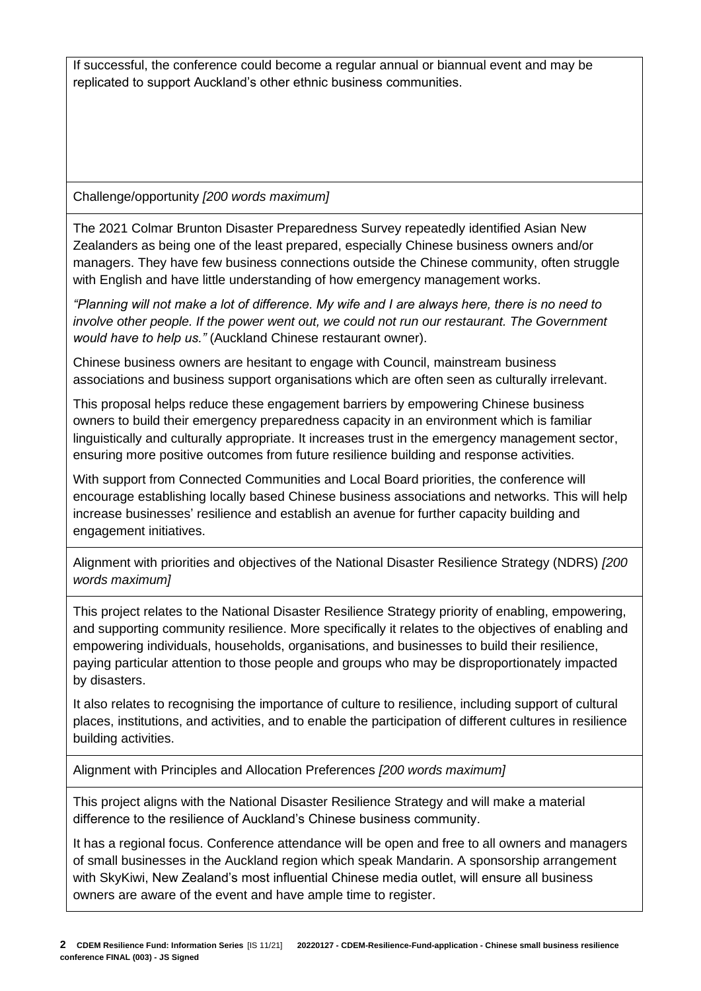If successful, the conference could become a regular annual or biannual event and may be replicated to support Auckland's other ethnic business communities.

Challenge/opportunity *[200 words maximum]*

The 2021 Colmar Brunton Disaster Preparedness Survey repeatedly identified Asian New Zealanders as being one of the least prepared, especially Chinese business owners and/or managers. They have few business connections outside the Chinese community, often struggle with English and have little understanding of how emergency management works.

*"Planning will not make a lot of difference. My wife and I are always here, there is no need to involve other people. If the power went out, we could not run our restaurant. The Government would have to help us."* (Auckland Chinese restaurant owner).

Chinese business owners are hesitant to engage with Council, mainstream business associations and business support organisations which are often seen as culturally irrelevant.

This proposal helps reduce these engagement barriers by empowering Chinese business owners to build their emergency preparedness capacity in an environment which is familiar linguistically and culturally appropriate. It increases trust in the emergency management sector, ensuring more positive outcomes from future resilience building and response activities.

With support from Connected Communities and Local Board priorities, the conference will encourage establishing locally based Chinese business associations and networks. This will help increase businesses' resilience and establish an avenue for further capacity building and engagement initiatives.

Alignment with priorities and objectives of the National Disaster Resilience Strategy (NDRS) *[200 words maximum]*

This project relates to the National Disaster Resilience Strategy priority of enabling, empowering, and supporting community resilience. More specifically it relates to the objectives of enabling and empowering individuals, households, organisations, and businesses to build their resilience, paying particular attention to those people and groups who may be disproportionately impacted by disasters.

It also relates to recognising the importance of culture to resilience, including support of cultural places, institutions, and activities, and to enable the participation of different cultures in resilience building activities.

Alignment with Principles and Allocation Preferences *[200 words maximum]*

This project aligns with the National Disaster Resilience Strategy and will make a material difference to the resilience of Auckland's Chinese business community.

It has a regional focus. Conference attendance will be open and free to all owners and managers of small businesses in the Auckland region which speak Mandarin. A sponsorship arrangement with SkyKiwi, New Zealand's most influential Chinese media outlet, will ensure all business owners are aware of the event and have ample time to register.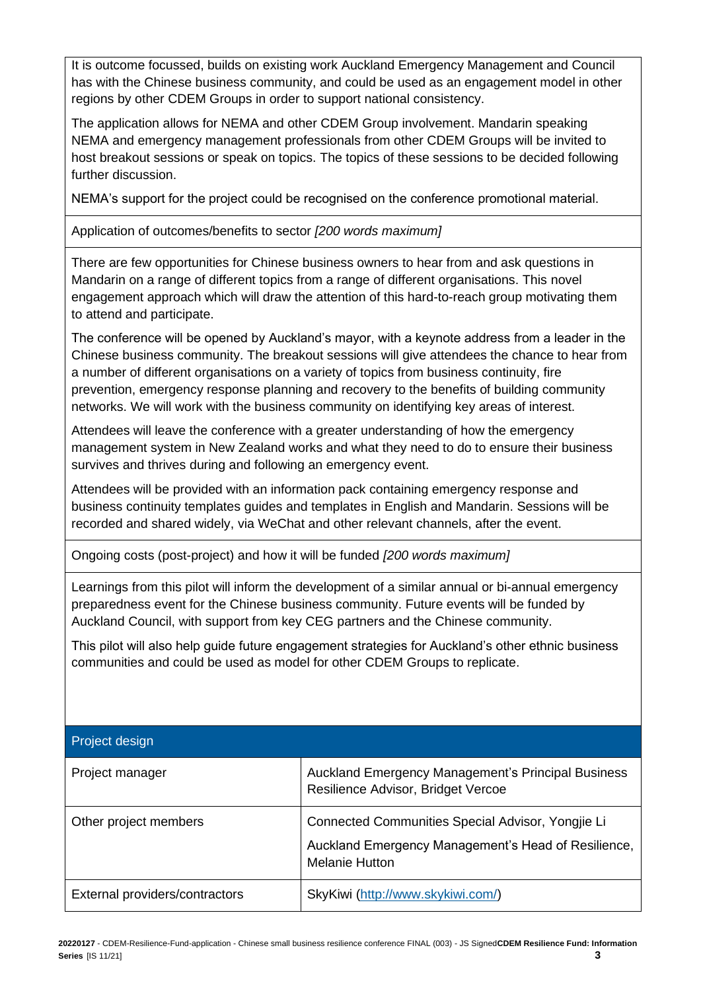It is outcome focussed, builds on existing work Auckland Emergency Management and Council has with the Chinese business community, and could be used as an engagement model in other regions by other CDEM Groups in order to support national consistency.

The application allows for NEMA and other CDEM Group involvement. Mandarin speaking NEMA and emergency management professionals from other CDEM Groups will be invited to host breakout sessions or speak on topics. The topics of these sessions to be decided following further discussion.

NEMA's support for the project could be recognised on the conference promotional material.

Application of outcomes/benefits to sector *[200 words maximum]*

There are few opportunities for Chinese business owners to hear from and ask questions in Mandarin on a range of different topics from a range of different organisations. This novel engagement approach which will draw the attention of this hard-to-reach group motivating them to attend and participate.

The conference will be opened by Auckland's mayor, with a keynote address from a leader in the Chinese business community. The breakout sessions will give attendees the chance to hear from a number of different organisations on a variety of topics from business continuity, fire prevention, emergency response planning and recovery to the benefits of building community networks. We will work with the business community on identifying key areas of interest.

Attendees will leave the conference with a greater understanding of how the emergency management system in New Zealand works and what they need to do to ensure their business survives and thrives during and following an emergency event.

Attendees will be provided with an information pack containing emergency response and business continuity templates guides and templates in English and Mandarin. Sessions will be recorded and shared widely, via WeChat and other relevant channels, after the event.

Ongoing costs (post-project) and how it will be funded *[200 words maximum]*

Learnings from this pilot will inform the development of a similar annual or bi-annual emergency preparedness event for the Chinese business community. Future events will be funded by Auckland Council, with support from key CEG partners and the Chinese community.

This pilot will also help guide future engagement strategies for Auckland's other ethnic business communities and could be used as model for other CDEM Groups to replicate.

## Project design

| Project manager                | Auckland Emergency Management's Principal Business<br>Resilience Advisor, Bridget Vercoe |
|--------------------------------|------------------------------------------------------------------------------------------|
| Other project members          | Connected Communities Special Advisor, Yongjie Li                                        |
|                                | Auckland Emergency Management's Head of Resilience,<br><b>Melanie Hutton</b>             |
| External providers/contractors | SkyKiwi (http://www.skykiwi.com/)                                                        |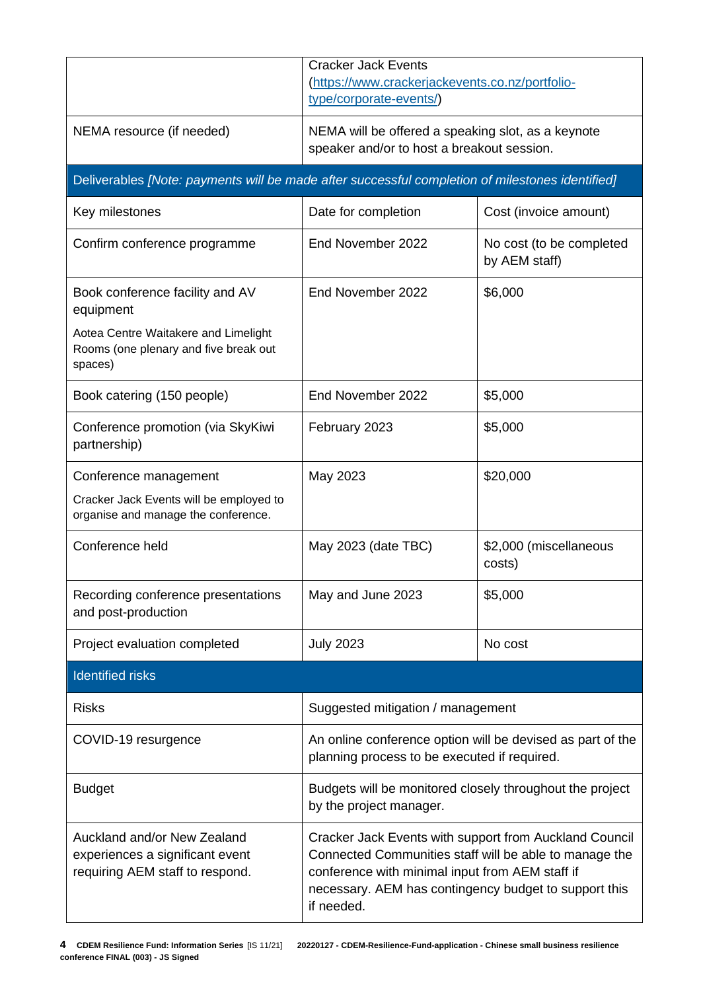|                                                                                                   | <b>Cracker Jack Events</b><br>(https://www.crackerjackevents.co.nz/portfolio-<br>type/corporate-events/)                                                                                                                                   |                                           |  |  |
|---------------------------------------------------------------------------------------------------|--------------------------------------------------------------------------------------------------------------------------------------------------------------------------------------------------------------------------------------------|-------------------------------------------|--|--|
| NEMA resource (if needed)                                                                         | NEMA will be offered a speaking slot, as a keynote<br>speaker and/or to host a breakout session.                                                                                                                                           |                                           |  |  |
| Deliverables [Note: payments will be made after successful completion of milestones identified]   |                                                                                                                                                                                                                                            |                                           |  |  |
| Key milestones                                                                                    | Date for completion                                                                                                                                                                                                                        | Cost (invoice amount)                     |  |  |
| Confirm conference programme                                                                      | End November 2022                                                                                                                                                                                                                          | No cost (to be completed<br>by AEM staff) |  |  |
| Book conference facility and AV<br>equipment                                                      | End November 2022                                                                                                                                                                                                                          | \$6,000                                   |  |  |
| Aotea Centre Waitakere and Limelight<br>Rooms (one plenary and five break out<br>spaces)          |                                                                                                                                                                                                                                            |                                           |  |  |
| Book catering (150 people)                                                                        | End November 2022                                                                                                                                                                                                                          | \$5,000                                   |  |  |
| Conference promotion (via SkyKiwi<br>partnership)                                                 | February 2023                                                                                                                                                                                                                              | \$5,000                                   |  |  |
| Conference management                                                                             | May 2023                                                                                                                                                                                                                                   | \$20,000                                  |  |  |
| Cracker Jack Events will be employed to<br>organise and manage the conference.                    |                                                                                                                                                                                                                                            |                                           |  |  |
| Conference held                                                                                   | May 2023 (date TBC)                                                                                                                                                                                                                        | \$2,000 (miscellaneous<br>costs)          |  |  |
| Recording conference presentations<br>and post-production                                         | \$5,000<br>May and June 2023                                                                                                                                                                                                               |                                           |  |  |
| Project evaluation completed                                                                      | <b>July 2023</b>                                                                                                                                                                                                                           | No cost                                   |  |  |
| <b>Identified risks</b>                                                                           |                                                                                                                                                                                                                                            |                                           |  |  |
| <b>Risks</b>                                                                                      | Suggested mitigation / management                                                                                                                                                                                                          |                                           |  |  |
| COVID-19 resurgence                                                                               | An online conference option will be devised as part of the<br>planning process to be executed if required.                                                                                                                                 |                                           |  |  |
| <b>Budget</b>                                                                                     | Budgets will be monitored closely throughout the project<br>by the project manager.                                                                                                                                                        |                                           |  |  |
| Auckland and/or New Zealand<br>experiences a significant event<br>requiring AEM staff to respond. | Cracker Jack Events with support from Auckland Council<br>Connected Communities staff will be able to manage the<br>conference with minimal input from AEM staff if<br>necessary. AEM has contingency budget to support this<br>if needed. |                                           |  |  |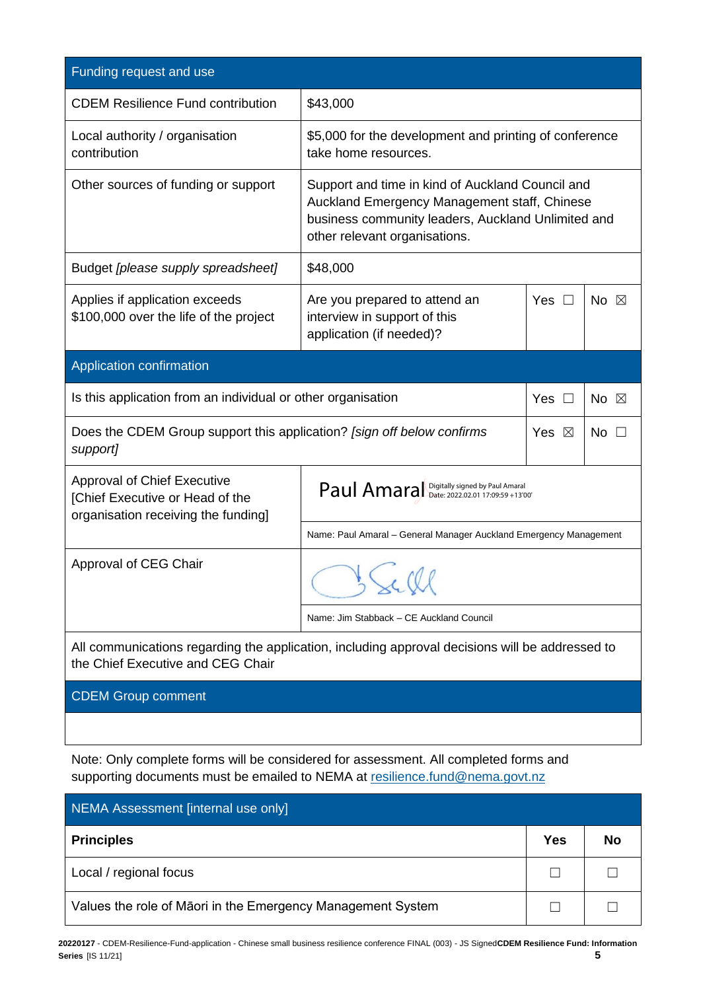| Funding request and use                                                                                                              |                                                                                                                                                                                         |                                                        |                |  |
|--------------------------------------------------------------------------------------------------------------------------------------|-----------------------------------------------------------------------------------------------------------------------------------------------------------------------------------------|--------------------------------------------------------|----------------|--|
| <b>CDEM Resilience Fund contribution</b>                                                                                             | \$43,000                                                                                                                                                                                |                                                        |                |  |
| Local authority / organisation<br>contribution                                                                                       | take home resources.                                                                                                                                                                    | \$5,000 for the development and printing of conference |                |  |
| Other sources of funding or support                                                                                                  | Support and time in kind of Auckland Council and<br>Auckland Emergency Management staff, Chinese<br>business community leaders, Auckland Unlimited and<br>other relevant organisations. |                                                        |                |  |
| Budget [please supply spreadsheet]                                                                                                   | \$48,000                                                                                                                                                                                |                                                        |                |  |
| Applies if application exceeds<br>\$100,000 over the life of the project                                                             | Are you prepared to attend an<br>interview in support of this<br>application (if needed)?                                                                                               | <b>Yes</b><br>$\Box$                                   | No $\boxtimes$ |  |
| Application confirmation                                                                                                             |                                                                                                                                                                                         |                                                        |                |  |
| Is this application from an individual or other organisation<br>Yes $\Box$<br>No $\boxtimes$                                         |                                                                                                                                                                                         |                                                        |                |  |
| Does the CDEM Group support this application? [sign off below confirms<br>support]                                                   |                                                                                                                                                                                         | Yes $\boxtimes$                                        | No $\square$   |  |
| <b>Approval of Chief Executive</b><br>[Chief Executive or Head of the<br>organisation receiving the funding]                         | Paul Amaral Digitally signed by Paul Amaral                                                                                                                                             |                                                        |                |  |
|                                                                                                                                      | Name: Paul Amaral - General Manager Auckland Emergency Management                                                                                                                       |                                                        |                |  |
| Approval of CEG Chair                                                                                                                |                                                                                                                                                                                         |                                                        |                |  |
|                                                                                                                                      | Name: Jim Stabback - CE Auckland Council                                                                                                                                                |                                                        |                |  |
| All communications regarding the application, including approval decisions will be addressed to<br>the Chief Executive and CEG Chair |                                                                                                                                                                                         |                                                        |                |  |
| <b>CDEM Group comment</b>                                                                                                            |                                                                                                                                                                                         |                                                        |                |  |
|                                                                                                                                      |                                                                                                                                                                                         |                                                        |                |  |

Note: Only complete forms will be considered for assessment. All completed forms and supporting documents must be emailed to NEMA at [resilience.fund@nema.govt.nz](mailto:resilience.fund@nema.govt.nz?subject=CDEM%20Resilience%20Fund:)

| NEMA Assessment [internal use only]                         |     |    |  |  |
|-------------------------------------------------------------|-----|----|--|--|
| <b>Principles</b>                                           | Yes | No |  |  |
| Local / regional focus                                      |     |    |  |  |
| Values the role of Maori in the Emergency Management System |     |    |  |  |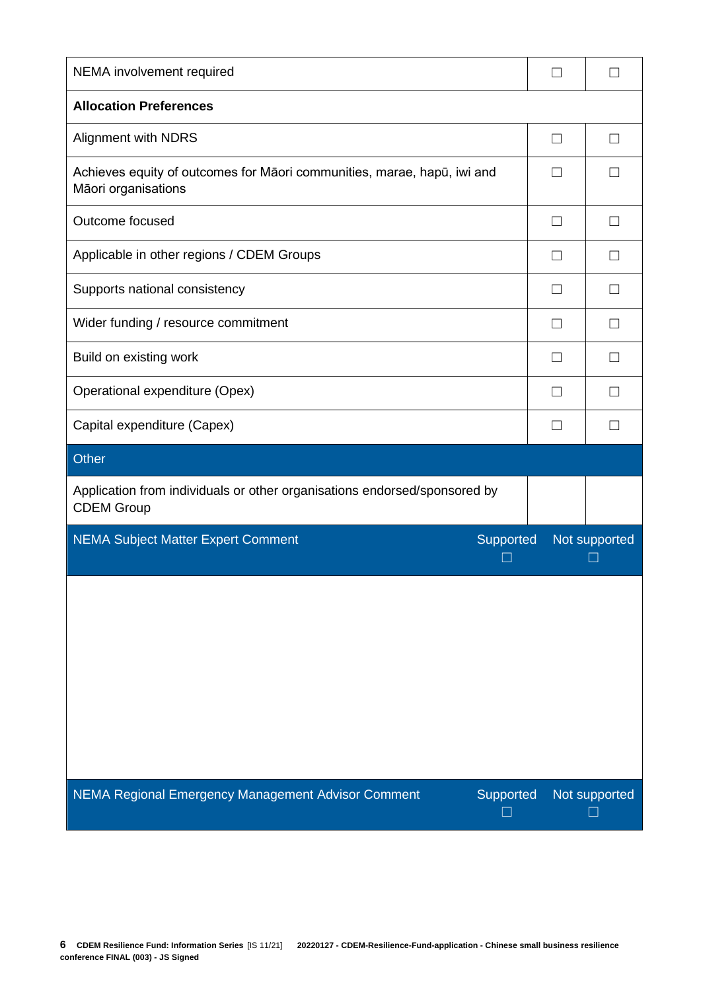| NEMA involvement required                                                                      | $\vert \ \ \vert$ |               |
|------------------------------------------------------------------------------------------------|-------------------|---------------|
| <b>Allocation Preferences</b>                                                                  |                   |               |
| <b>Alignment with NDRS</b>                                                                     | П                 |               |
| Achieves equity of outcomes for Māori communities, marae, hapū, iwi and<br>Māori organisations | $\Box$            |               |
| Outcome focused                                                                                | $\Box$            | $\Box$        |
| Applicable in other regions / CDEM Groups                                                      | $\perp$           | $\Box$        |
| Supports national consistency                                                                  | $\Box$            | L             |
| Wider funding / resource commitment                                                            | $\vert \ \ \vert$ |               |
| Build on existing work                                                                         | П                 |               |
| Operational expenditure (Opex)                                                                 | $\vert \ \ \vert$ |               |
| Capital expenditure (Capex)                                                                    | $\vert \ \ \vert$ |               |
| <b>Other</b>                                                                                   |                   |               |
| Application from individuals or other organisations endorsed/sponsored by<br><b>CDEM Group</b> |                   |               |
| <b>NEMA Subject Matter Expert Comment</b><br>Supported<br>- 1                                  |                   | Not supported |
|                                                                                                |                   |               |
| NEMA Regional Emergency Management Advisor Comment<br>Supported                                |                   | Not supported |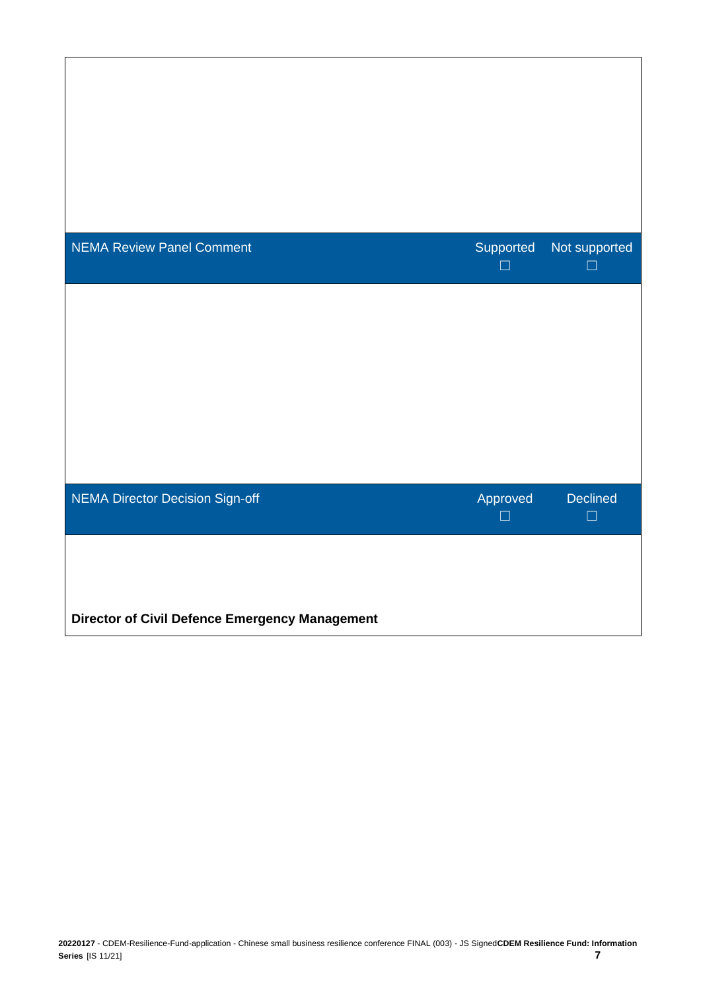| <b>NEMA Review Panel Comment</b>                      | Supported<br>× | Not supported<br>$\mathsf{L}$ |
|-------------------------------------------------------|----------------|-------------------------------|
|                                                       |                |                               |
|                                                       |                |                               |
|                                                       |                |                               |
| <b>NEMA Director Decision Sign-off</b>                | Approved<br>П  | <b>Declined</b><br>$\Box$     |
|                                                       |                |                               |
| <b>Director of Civil Defence Emergency Management</b> |                |                               |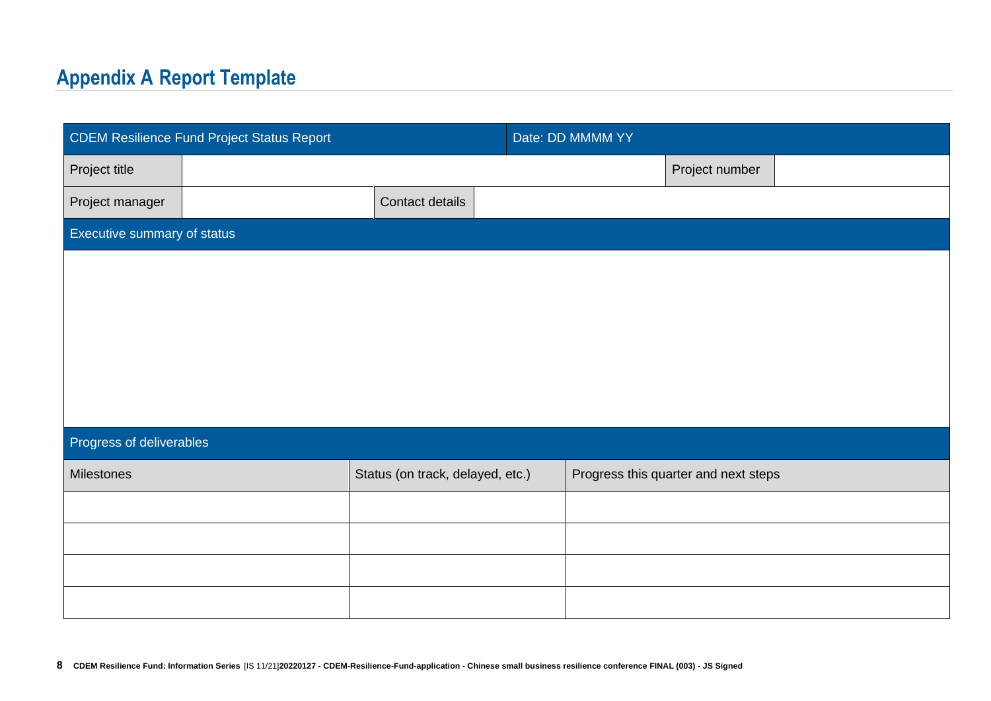## **Appendix A Report Template**

| <b>CDEM Resilience Fund Project Status Report</b> |  | Date: DD MMMM YY                 |  |  |                                      |  |
|---------------------------------------------------|--|----------------------------------|--|--|--------------------------------------|--|
| Project title                                     |  |                                  |  |  | Project number                       |  |
| Project manager                                   |  | Contact details                  |  |  |                                      |  |
| Executive summary of status                       |  |                                  |  |  |                                      |  |
|                                                   |  |                                  |  |  |                                      |  |
|                                                   |  |                                  |  |  |                                      |  |
|                                                   |  |                                  |  |  |                                      |  |
|                                                   |  |                                  |  |  |                                      |  |
|                                                   |  |                                  |  |  |                                      |  |
| Progress of deliverables                          |  |                                  |  |  |                                      |  |
|                                                   |  |                                  |  |  |                                      |  |
| Milestones                                        |  | Status (on track, delayed, etc.) |  |  | Progress this quarter and next steps |  |
|                                                   |  |                                  |  |  |                                      |  |
|                                                   |  |                                  |  |  |                                      |  |
|                                                   |  |                                  |  |  |                                      |  |
|                                                   |  |                                  |  |  |                                      |  |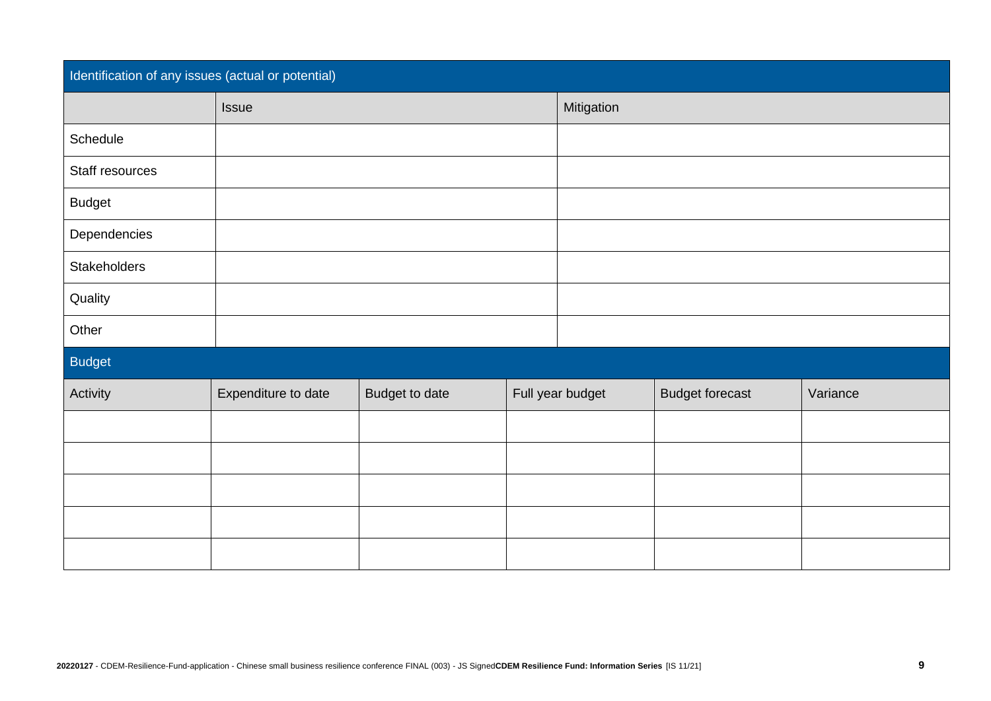| Identification of any issues (actual or potential) |                     |                |  |                  |                        |          |
|----------------------------------------------------|---------------------|----------------|--|------------------|------------------------|----------|
|                                                    | Issue               |                |  | Mitigation       |                        |          |
| Schedule                                           |                     |                |  |                  |                        |          |
| Staff resources                                    |                     |                |  |                  |                        |          |
| <b>Budget</b>                                      |                     |                |  |                  |                        |          |
| Dependencies                                       |                     |                |  |                  |                        |          |
| Stakeholders                                       |                     |                |  |                  |                        |          |
| Quality                                            |                     |                |  |                  |                        |          |
| Other                                              |                     |                |  |                  |                        |          |
| <b>Budget</b>                                      |                     |                |  |                  |                        |          |
| Activity                                           | Expenditure to date | Budget to date |  | Full year budget | <b>Budget forecast</b> | Variance |
|                                                    |                     |                |  |                  |                        |          |
|                                                    |                     |                |  |                  |                        |          |
|                                                    |                     |                |  |                  |                        |          |
|                                                    |                     |                |  |                  |                        |          |
|                                                    |                     |                |  |                  |                        |          |